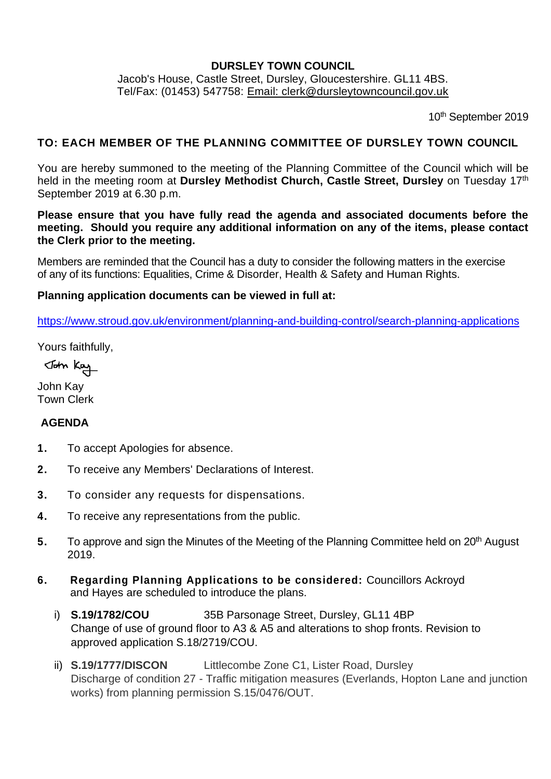### **DURSLEY TOWN COUNCIL**

Jacob's House, Castle Street, Dursley, Gloucestershire. GL11 4BS. Tel/Fax: (01453) 547758: [Email: clerk@dursleytowncouncil.gov.uk](mailto:clerk@dursleytowncouncil.gov.uk)

10th September 2019

#### **TO: EACH MEMBER OF THE PLANNING COMMITTEE OF DURSLEY TOWN COUNCIL**

You are hereby summoned to the meeting of the Planning Committee of the Council which will be held in the meeting room at **Dursley Methodist Church, Castle Street, Dursley** on Tuesday 17th September 2019 at 6.30 p.m.

**Please ensure that you have fully read the agenda and associated documents before the meeting. Should you require any additional information on any of the items, please contact the Clerk prior to the meeting.**

Members are reminded that the Council has a duty to consider the following matters in the exercise of any of its functions: Equalities, Crime & Disorder, Health & Safety and Human Rights.

#### **Planning application documents can be viewed in full at:**

<https://www.stroud.gov.uk/environment/planning-and-building-control/search-planning-applications>

Yours faithfully,

John Kay

John Kay Town Clerk

### **AGENDA**

- **1.** To accept Apologies for absence.
- **2.** To receive any Members' Declarations of Interest.
- **3.** To consider any requests for dispensations.
- **4.** To receive any representations from the public.
- **5.** To approve and sign the Minutes of the Meeting of the Planning Committee held on 20<sup>th</sup> August 2019.
- **6. Regarding Planning Applications to be considered:** Councillors Ackroyd and Hayes are scheduled to introduce the plans.
	- i) **S.19/1782/COU** 35B Parsonage Street, Dursley, GL11 4BP Change of use of ground floor to A3 & A5 and alterations to shop fronts. Revision to approved application S.18/2719/COU.
	- ii) **S.19/1777/DISCON** Littlecombe Zone C1, Lister Road, Dursley Discharge of condition 27 - Traffic mitigation measures (Everlands, Hopton Lane and junction works) from planning permission S.15/0476/OUT.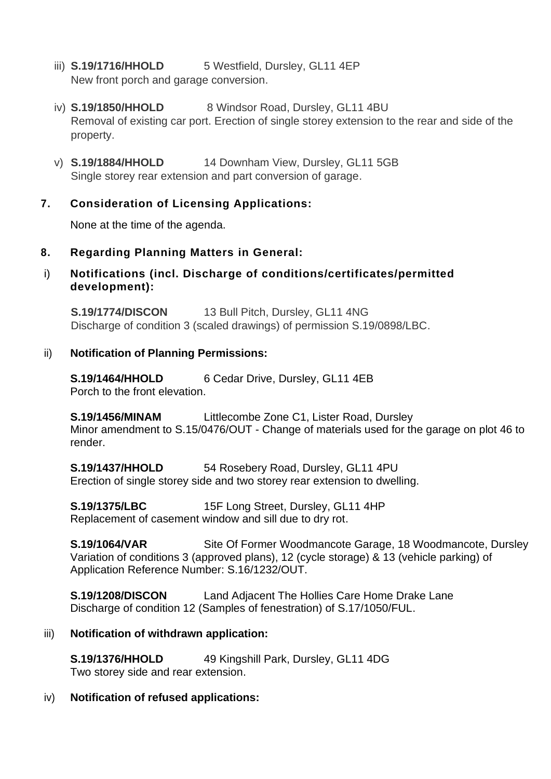- iii) **S.19/1716/HHOLD** 5 Westfield, Dursley, GL11 4EP New front porch and garage conversion.
- iv) **S.19/1850/HHOLD** 8 Windsor Road, Dursley, GL11 4BU Removal of existing car port. Erection of single storey extension to the rear and side of the property.
- v) **S.19/1884/HHOLD** 14 Downham View, Dursley, GL11 5GB Single storey rear extension and part conversion of garage.

# **7. Consideration of Licensing Applications:**

None at the time of the agenda.

## **8. Regarding Planning Matters in General:**

i) **Notifications (incl. Discharge of conditions/certificates/permitted development):** 

**S.19/1774/DISCON** 13 Bull Pitch, Dursley, GL11 4NG Discharge of condition 3 (scaled drawings) of permission S.19/0898/LBC.

## ii) **Notification of Planning Permissions:**

**S.19/1464/HHOLD** 6 Cedar Drive, Dursley, GL11 4EB Porch to the front elevation.

**S.19/1456/MINAM** Littlecombe Zone C1, Lister Road, Dursley Minor amendment to S.15/0476/OUT - Change of materials used for the garage on plot 46 to render.

**S.19/1437/HHOLD** 54 Rosebery Road, Dursley, GL11 4PU Erection of single storey side and two storey rear extension to dwelling.

**S.19/1375/LBC** 15F Long Street, Dursley, GL11 4HP Replacement of casement window and sill due to dry rot.

**S.19/1064/VAR** Site Of Former Woodmancote Garage, 18 Woodmancote, Dursley Variation of conditions 3 (approved plans), 12 (cycle storage) & 13 (vehicle parking) of Application Reference Number: S.16/1232/OUT.

**S.19/1208/DISCON** Land Adjacent The Hollies Care Home Drake Lane Discharge of condition 12 (Samples of fenestration) of S.17/1050/FUL.

## iii) **Notification of withdrawn application:**

**S.19/1376/HHOLD** 49 Kingshill Park, Dursley, GL11 4DG Two storey side and rear extension.

### iv) **Notification of refused applications:**